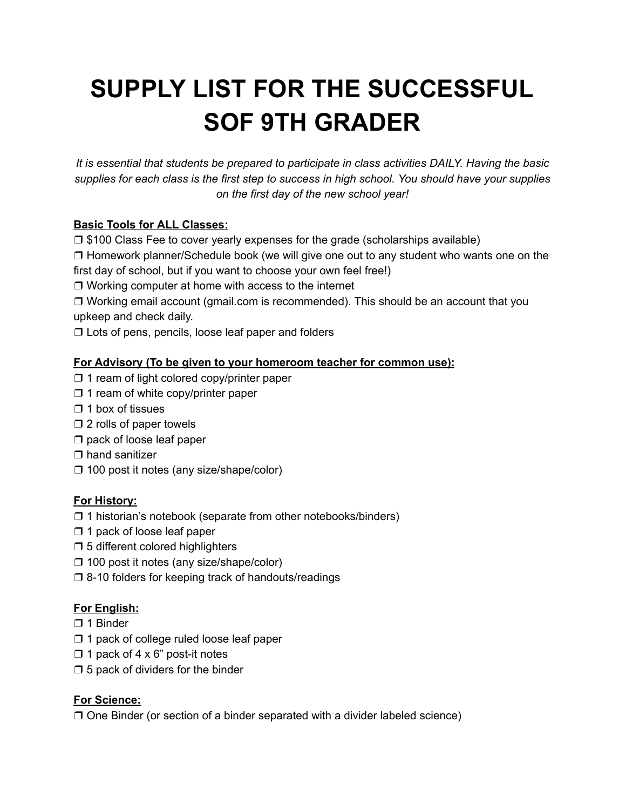# **SUPPLY LIST FOR THE SUCCESSFUL SOF 9TH GRADER**

*It is essential that students be prepared to participate in class activities DAILY. Having the basic supplies for each class is the first step to success in high school. You should have your supplies on the first day of the new school year!*

## **Basic Tools for ALL Classes:**

❒ \$100 Class Fee to cover yearly expenses for the grade (scholarships available)

❒ Homework planner/Schedule book (we will give one out to any student who wants one on the first day of school, but if you want to choose your own feel free!)

❒ Working computer at home with access to the internet

❒ Working email account (gmail.com is recommended). This should be an account that you upkeep and check daily.

❒ Lots of pens, pencils, loose leaf paper and folders

#### **For Advisory (To be given to your homeroom teacher for common use):**

- ❒ 1 ream of light colored copy/printer paper
- ❒ 1 ream of white copy/printer paper
- $\Box$  1 box of tissues
- ❒ 2 rolls of paper towels
- ❒ pack of loose leaf paper
- ❒ hand sanitizer
- ❒ 100 post it notes (any size/shape/color)

#### **For History:**

- ❒ 1 historian's notebook (separate from other notebooks/binders)
- ❒ 1 pack of loose leaf paper
- ❒ 5 different colored highlighters
- ❒ 100 post it notes (any size/shape/color)
- ❒ 8-10 folders for keeping track of handouts/readings

#### **For English:**

- ❒ 1 Binder
- ❒ 1 pack of college ruled loose leaf paper
- $\Box$  1 pack of 4 x 6" post-it notes
- $\square$  5 pack of dividers for the binder

#### **For Science:**

❒ One Binder (or section of a binder separated with a divider labeled science)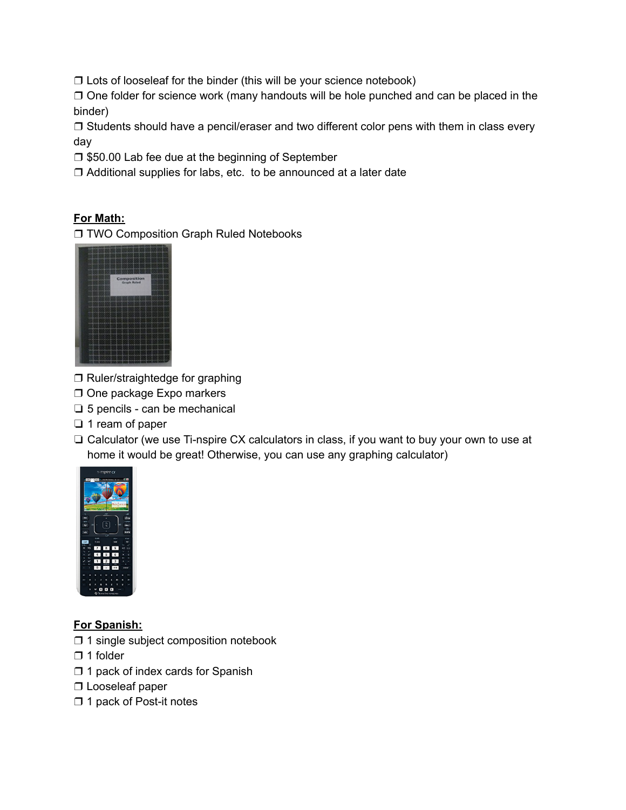❒ Lots of looseleaf for the binder (this will be your science notebook)

❒ One folder for science work (many handouts will be hole punched and can be placed in the binder)

❒ Students should have a pencil/eraser and two different color pens with them in class every day

❒ \$50.00 Lab fee due at the beginning of September

❒ Additional supplies for labs, etc. to be announced at a later date

### **For Math:**

❒ TWO Composition Graph Ruled Notebooks



- ❒ Ruler/straightedge for graphing
- ❒ One package Expo markers
- ❏ 5 pencils can be mechanical
- ❏ 1 ream of paper
- ❏ Calculator (we use Ti-nspire CX calculators in class, if you want to buy your own to use at home it would be great! Otherwise, you can use any graphing calculator)



**For Spanish:**

- ❒ 1 single subject composition notebook
- ❒ 1 folder
- ❒ 1 pack of index cards for Spanish
- ❒ Looseleaf paper
- ❒ 1 pack of Post-it notes